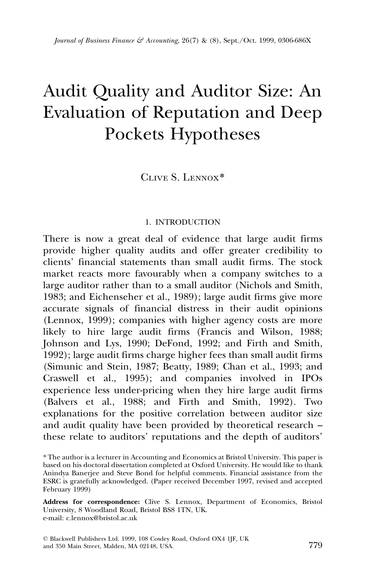# Audit Quality and Auditor Size: An Evaluation of Reputation and Deep Pockets Hypotheses

Clive S. Lennox\*

## 1. INTRODUCTION

There is now a great deal of evidence that large audit firms provide higher quality audits and offer greater credibility to clients' financial statements than small audit firms. The stock market reacts more favourably when a company switches to a large auditor rather than to a small auditor (Nichols and Smith, 1983; and Eichenseher et al., 1989); large audit firms give more accurate signals of financial distress in their audit opinions (Lennox, 1999); companies with higher agency costs are more likely to hire large audit firms (Francis and Wilson, 1988; Johnson and Lys, 1990; DeFond, 1992; and Firth and Smith, 1992); large audit firms charge higher fees than small audit firms (Simunic and Stein, 1987; Beatty, 1989; Chan et al., 1993; and Craswell et al., 1995); and companies involved in IPOs experience less under-pricing when they hire large audit firms (Balvers et al., 1988; and Firth and Smith, 1992). Two explanations for the positive correlation between auditor size and audit quality have been provided by theoretical research – these relate to auditors' reputations and the depth of auditors'

<sup>\*</sup> The author is a lecturer in Accounting and Economics at Bristol University. This paper is based on his doctoral dissertation completed at Oxford University. He would like to thank Anindya Banerjee and Steve Bond for helpful comments. Financial assistance from the ESRC is gratefully acknowledged. (Paper received December 1997, revised and accepted February 1999)

Address for correspondence: Clive S. Lennox, Department of Economics, Bristol University, 8 Woodland Road, Bristol BS8 1TN, UK. e-mail: c.lennox@bristol.ac.uk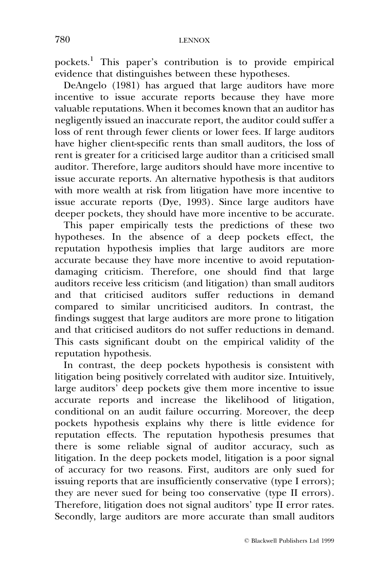pockets.1 This paper's contribution is to provide empirical evidence that distinguishes between these hypotheses.

DeAngelo (1981) has argued that large auditors have more incentive to issue accurate reports because they have more valuable reputations. When it becomes known that an auditor has negligently issued an inaccurate report, the auditor could suffer a loss of rent through fewer clients or lower fees. If large auditors have higher client-specific rents than small auditors, the loss of rent is greater for a criticised large auditor than a criticised small auditor. Therefore, large auditors should have more incentive to issue accurate reports. An alternative hypothesis is that auditors with more wealth at risk from litigation have more incentive to issue accurate reports (Dye, 1993). Since large auditors have deeper pockets, they should have more incentive to be accurate.

This paper empirically tests the predictions of these two hypotheses. In the absence of a deep pockets effect, the reputation hypothesis implies that large auditors are more accurate because they have more incentive to avoid reputationdamaging criticism. Therefore, one should find that large auditors receive less criticism (and litigation) than small auditors and that criticised auditors suffer reductions in demand compared to similar uncriticised auditors. In contrast, the findings suggest that large auditors are more prone to litigation and that criticised auditors do not suffer reductions in demand. This casts significant doubt on the empirical validity of the reputation hypothesis.

In contrast, the deep pockets hypothesis is consistent with litigation being positively correlated with auditor size. Intuitively, large auditors' deep pockets give them more incentive to issue accurate reports and increase the likelihood of litigation, conditional on an audit failure occurring. Moreover, the deep pockets hypothesis explains why there is little evidence for reputation effects. The reputation hypothesis presumes that there is some reliable signal of auditor accuracy, such as litigation. In the deep pockets model, litigation is a poor signal of accuracy for two reasons. First, auditors are only sued for issuing reports that are insufficiently conservative (type I errors); they are never sued for being too conservative (type II errors). Therefore, litigation does not signal auditors' type II error rates. Secondly, large auditors are more accurate than small auditors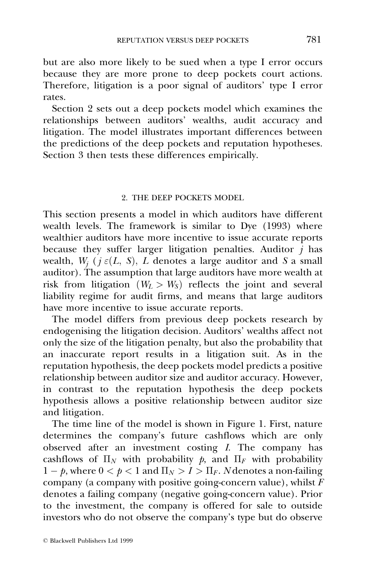but are also more likely to be sued when a type I error occurs because they are more prone to deep pockets court actions. Therefore, litigation is a poor signal of auditors' type I error rates.

Section 2 sets out a deep pockets model which examines the relationships between auditors' wealths, audit accuracy and litigation. The model illustrates important differences between the predictions of the deep pockets and reputation hypotheses. Section 3 then tests these differences empirically.

#### 2. THE DEEP POCKETS MODEL

This section presents a model in which auditors have different wealth levels. The framework is similar to Dye (1993) where wealthier auditors have more incentive to issue accurate reports because they suffer larger litigation penalties. Auditor  $\overrightarrow{i}$  has wealth,  $W_i$  ( $j \in (L, S)$ ,  $L$  denotes a large auditor and S a small auditor). The assumption that large auditors have more wealth at risk from litigation  $(W_L > W_S)$  reflects the joint and several liability regime for audit firms, and means that large auditors have more incentive to issue accurate reports.

The model differs from previous deep pockets research by endogenising the litigation decision. Auditors' wealths affect not only the size of the litigation penalty, but also the probability that an inaccurate report results in a litigation suit. As in the reputation hypothesis, the deep pockets model predicts a positive relationship between auditor size and auditor accuracy. However, in contrast to the reputation hypothesis the deep pockets hypothesis allows a positive relationship between auditor size and litigation.

The time line of the model is shown in Figure 1. First, nature determines the company's future cashflows which are only observed after an investment costing I. The company has cashflows of  $\Pi_N$  with probability p, and  $\Pi_F$  with probability  $1 - p$ , where  $0 < p < 1$  and  $\Pi_N > I > \Pi_F$ . N denotes a non-failing company (a company with positive going-concern value), whilst  $\overline{F}$ denotes a failing company (negative going-concern value). Prior to the investment, the company is offered for sale to outside investors who do not observe the company's type but do observe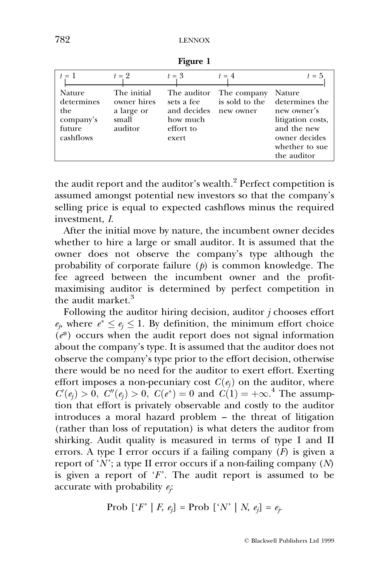| $t = 1$                                                         | $t=2$                                                        | $t=3$                                                                      | $t = 4$                                    | $t=5$                                                                                                                         |
|-----------------------------------------------------------------|--------------------------------------------------------------|----------------------------------------------------------------------------|--------------------------------------------|-------------------------------------------------------------------------------------------------------------------------------|
| Nature<br>determines<br>the<br>company's<br>future<br>cashflows | The initial<br>owner hires<br>a large or<br>small<br>auditor | The auditor<br>sets a fee<br>and decides<br>how much<br>effort to<br>exert | The company<br>is sold to the<br>new owner | Nature<br>determines the<br>new owner's<br>litigation costs,<br>and the new<br>owner decides<br>whether to sue<br>the auditor |

Figure 1

the audit report and the auditor's wealth.<sup>2</sup> Perfect competition is assumed amongst potential new investors so that the company's selling price is equal to expected cashflows minus the required investment, I.

After the initial move by nature, the incumbent owner decides whether to hire a large or small auditor. It is assumed that the owner does not observe the company's type although the probability of corporate failure  $(p)$  is common knowledge. The fee agreed between the incumbent owner and the profitmaximising auditor is determined by perfect competition in the audit market.<sup>3</sup>

Following the auditor hiring decision, auditor  $j$  chooses effort  $e_i$ , where  $e^* \leq e_i \leq 1$ . By definition, the minimum effort choice  $(e^*)$  occurs when the audit report does not signal information about the company's type. It is assumed that the auditor does not observe the company's type prior to the effort decision, otherwise there would be no need for the auditor to exert effort. Exerting effort imposes a non-pecuniary cost  $C(e_i)$  on the auditor, where  $C'(e_j) > 0$ ,  $C''(e_j) > 0$ ,  $C(e^*) = 0$  and  $C(1) = +\infty$ .<sup>4</sup> The assumption that effort is privately observable and costly to the auditor introduces a moral hazard problem - the threat of litigation (rather than loss of reputation) is what deters the auditor from shirking. Audit quality is measured in terms of type I and II errors. A type I error occurs if a failing company  $(F)$  is given a report of 'N'; a type II error occurs if a non-failing company  $(N)$ is given a report of  $F$ . The audit report is assumed to be accurate with probability  $e_i$ :

$$
Prob [`F` | F, e_j] = Prob [`N` | N, e_j] = e_j.
$$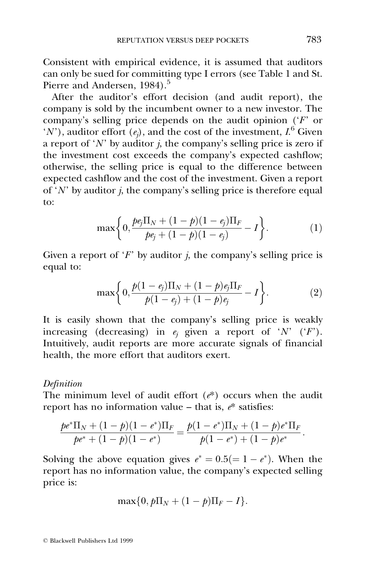Consistent with empirical evidence, it is assumed that auditors can only be sued for committing type I errors (see Table 1 and St. Pierre and Andersen, 1984).<sup>5</sup>

After the auditor's effort decision (and audit report), the company is sold by the incumbent owner to a new investor. The company's selling price depends on the audit opinion  $(F)$  or  $(N')$ , auditor effort  $(e_j)$ , and the cost of the investment,  $I^6$  Given a report of 'N' by auditor *j*, the company's selling price is zero if the investment cost exceeds the company's expected cashflow; otherwise, the selling price is equal to the difference between expected cashflow and the cost of the investment. Given a report of 'N' by auditor *i*, the company's selling price is therefore equal to:

$$
\max\bigg\{0,\frac{pe_j\Pi_N+(1-p)(1-e_j)\Pi_F}{pe_j+(1-p)(1-e_j)}-I\bigg\}.
$$
 (1)

Given a report of  $F$  by auditor *i*, the company's selling price is equal to:

$$
\max\bigg\{0,\frac{p(1-e_j)\Pi_N+(1-p)e_j\Pi_F}{p(1-e_j)+(1-p)e_j}-I\bigg\}.\tag{2}
$$

It is easily shown that the company's selling price is weakly increasing (decreasing) in  $e_i$  given a report of 'N' ('F'). Intuitively, audit reports are more accurate signals of financial health, the more effort that auditors exert.

## Definition

The minimum level of audit effort  $(e^*)$  occurs when the audit report has no information value  $-$  that is,  $e^*$  satisfies:

$$
\frac{p e^* \Pi_N + (1-p)(1-e^*) \Pi_F}{p e^* + (1-p)(1-e^*)} = \frac{p(1-e^*) \Pi_N + (1-p) e^* \Pi_F}{p(1-e^*) + (1-p) e^*}.
$$

Solving the above equation gives  $e^* = 0.5 (= 1 - e^*)$ . When the report has no information value, the company's expected selling price is:

$$
\max\{0, p\Pi_N + (1-p)\Pi_F - I\}.
$$

ß Blackwell Publishers Ltd 1999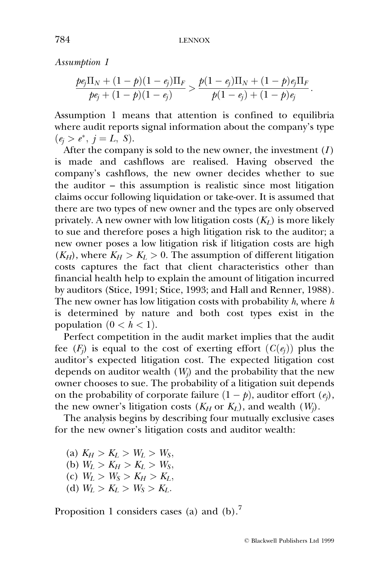Assumption 1

$$
\frac{pe_j\Pi_N + (1-p)(1-e_j)\Pi_F}{pe_j + (1-p)(1-e_j)} > \frac{p(1-e_j)\Pi_N + (1-p)e_j\Pi_F}{p(1-e_j) + (1-p)e_j}.
$$

Assumption 1 means that attention is confined to equilibria where audit reports signal information about the company's type  $(e_i > e^*, i = L, S).$ 

After the company is sold to the new owner, the investment  $(I)$ is made and cashflows are realised. Having observed the company's cashflows, the new owner decides whether to sue the auditor  $-$  this assumption is realistic since most litigation claims occur following liquidation or take-over. It is assumed that there are two types of new owner and the types are only observed privately. A new owner with low litigation costs  $(K_L)$  is more likely to sue and therefore poses a high litigation risk to the auditor; a new owner poses a low litigation risk if litigation costs are high  $(K_H)$ , where  $K_H > K_L > 0$ . The assumption of different litigation costs captures the fact that client characteristics other than financial health help to explain the amount of litigation incurred by auditors (Stice, 1991; Stice, 1993; and Hall and Renner, 1988). The new owner has low litigation costs with probability  $h$ , where  $h$ is determined by nature and both cost types exist in the population  $(0 < h < 1)$ .

Perfect competition in the audit market implies that the audit fee  $(F_i)$  is equal to the cost of exerting effort  $(C(e_i))$  plus the auditor's expected litigation cost. The expected litigation cost depends on auditor wealth  $(W_i)$  and the probability that the new owner chooses to sue. The probability of a litigation suit depends on the probability of corporate failure  $(1 - p)$ , auditor effort  $(e_i)$ , the new owner's litigation costs  $(K_H \text{ or } K_L)$ , and wealth  $(W_j)$ .

The analysis begins by describing four mutually exclusive cases for the new owner's litigation costs and auditor wealth:

(a)  $K_H > K_L > W_L > W_S$ , (b)  $W_L > K_H > K_L > W_S$ , (c)  $W_L > W_S > K_H > K_L$ , (d)  $W_L > K_L > W_S > K_L$ .

Proposition 1 considers cases (a) and  $(b)$ .<sup>7</sup>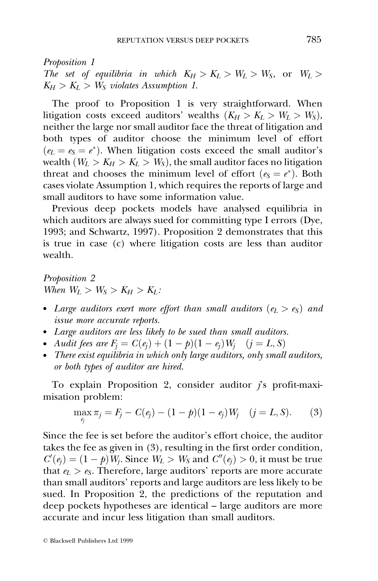Proposition 1

The set of equilibria in which  $K_H > K_L > W_L > W_S$ , or  $W_L >$  $K_H > K_L > W_S$  violates Assumption 1.

The proof to Proposition 1 is very straightforward. When litigation costs exceed auditors' wealths  $(K_H > K_L > W_L > W_S)$ , neither the large nor small auditor face the threat of litigation and both types of auditor choose the minimum level of effort  $(e_L = e_S = e^*)$ . When litigation costs exceed the small auditor's wealth  $(W_L > K_H > K_L > W_S)$ , the small auditor faces no litigation threat and chooses the minimum level of effort ( $e_S = e^*$ ). Both cases violate Assumption 1, which requires the reports of large and small auditors to have some information value.

Previous deep pockets models have analysed equilibria in which auditors are always sued for committing type I errors (Dye, 1993; and Schwartz, 1997). Proposition 2 demonstrates that this is true in case (c) where litigation costs are less than auditor wealth.

Proposition 2 When  $W_L > W_S > K_H > K_L$ :

- Large auditors exert more effort than small auditors ( $e_L > e_S$ ) and issue more accurate reports.
- Large auditors are less likely to be sued than small auditors.
- Audit fees are  $F_i = C(e_i) + (1 p)(1 e_i)W_i$   $(j = L, S)$
- There exist equilibria in which only large auditors, only small auditors, or both types of auditor are hired.

To explain Proposition 2, consider auditor  $i$ 's profit-maximisation problem:

$$
\max_{e_j} \pi_j = F_j - C(e_j) - (1 - p)(1 - e_j)W_j \quad (j = L, S). \tag{3}
$$

Since the fee is set before the auditor's effort choice, the auditor takes the fee as given in (3), resulting in the first order condition,  $C'(e_j) = (1 - p)W_j$ . Since  $W_L > W_S$  and  $C''(e_j) > 0$ , it must be true that  $e_L > e_S$ . Therefore, large auditors' reports are more accurate than small auditors' reports and large auditors are less likely to be sued. In Proposition 2, the predictions of the reputation and deep pockets hypotheses are identical – large auditors are more accurate and incur less litigation than small auditors.

ß Blackwell Publishers Ltd 1999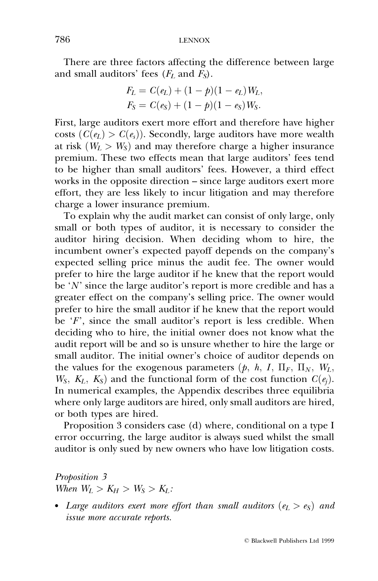There are three factors affecting the difference between large and small auditors' fees  $(F_L$  and  $\tilde{F_S}$ ).

$$
F_L = C(e_L) + (1 - p)(1 - e_L)W_L,
$$
  
\n
$$
F_S = C(e_S) + (1 - p)(1 - e_S)W_S.
$$

First, large auditors exert more effort and therefore have higher costs  $(C(e_l) > C(e_s))$ . Secondly, large auditors have more wealth at risk  $(W_L > W_S)$  and may therefore charge a higher insurance premium. These two effects mean that large auditors' fees tend to be higher than small auditors' fees. However, a third effect works in the opposite direction  $-$  since large auditors exert more effort, they are less likely to incur litigation and may therefore charge a lower insurance premium.

To explain why the audit market can consist of only large, only small or both types of auditor, it is necessary to consider the auditor hiring decision. When deciding whom to hire, the incumbent owner's expected payoff depends on the company's expected selling price minus the audit fee. The owner would prefer to hire the large auditor if he knew that the report would be  $'N'$  since the large auditor's report is more credible and has a greater effect on the company's selling price. The owner would prefer to hire the small auditor if he knew that the report would be  $F'$ , since the small auditor's report is less credible. When deciding who to hire, the initial owner does not know what the audit report will be and so is unsure whether to hire the large or small auditor. The initial owner's choice of auditor depends on the values for the exogenous parameters  $(p, h, I, \Pi_F, \Pi_N, W_L,$  $W_S$ ,  $K_L$ ,  $K_S$ ) and the functional form of the cost function  $C(e_i)$ . In numerical examples, the Appendix describes three equilibria where only large auditors are hired, only small auditors are hired, or both types are hired.

Proposition 3 considers case (d) where, conditional on a type I error occurring, the large auditor is always sued whilst the small auditor is only sued by new owners who have low litigation costs.

Proposition 3 When  $W_L > K_H > W_S > K_L$ :

• Large auditors exert more effort than small auditors ( $e_L > e_S$ ) and issue more accurate reports.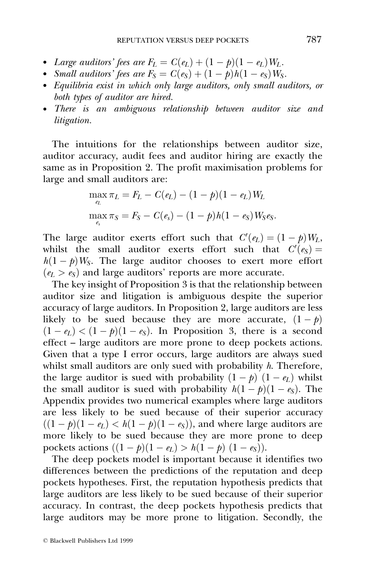- Large auditors' fees are  $F_L = C(e_L) + (1 p)(1 e_L)W_L$ .
- Small auditors' fees are  $F_S = C(e_S) + (1 p)h(1 e_S)W_S$ .
- Equilibria exist in which only large auditors, only small auditors, or both types of auditor are hired.
- There is an ambiguous relationship between auditor size and litigation.

The intuitions for the relationships between auditor size, auditor accuracy, audit fees and auditor hiring are exactly the same as in Proposition 2. The profit maximisation problems for large and small auditors are:

$$
\max_{e_L} \pi_L = F_L - C(e_L) - (1 - p)(1 - e_L)W_L
$$
  

$$
\max_{e_s} \pi_S = F_S - C(e_s) - (1 - p)h(1 - e_S)W_S e_S.
$$

The large auditor exerts effort such that  $C'(e_L) = (1 - p)W_L$ , whilst the small auditor exerts effort such that  $C'(e_S) =$  $h(1 - p)W_s$ . The large auditor chooses to exert more effort  $(e_L > e_S)$  and large auditors' reports are more accurate.

The key insight of Proposition  $\overline{3}$  is that the relationship between auditor size and litigation is ambiguous despite the superior accuracy of large auditors. In Proposition 2, large auditors are less likely to be sued because they are more accurate,  $(1 - p)$  $(1 - e_L) < (1 - p)(1 - e_S)$ . In Proposition 3, there is a second effect  $\overline{z}$  large auditors are more prone to deep pockets actions. Given that a type I error occurs, large auditors are always sued whilst small auditors are only sued with probability  $h$ . Therefore, the large auditor is sued with probability  $(1 - p) (1 - e_L)$  whilst the small auditor is sued with probability  $h(1 - p)(1 - e_S)$ . The Appendix provides two numerical examples where large auditors are less likely to be sued because of their superior accuracy  $((1 - p)(1 - e_L) < h(1 - p)(1 - e_S))$ , and where large auditors are more likely to be sued because they are more prone to deep pockets actions  $((1 - p)(1 - e_L) > h(1 - p)(1 - e_S)).$ 

The deep pockets model is important because it identifies two differences between the predictions of the reputation and deep pockets hypotheses. First, the reputation hypothesis predicts that large auditors are less likely to be sued because of their superior accuracy. In contrast, the deep pockets hypothesis predicts that large auditors may be more prone to litigation. Secondly, the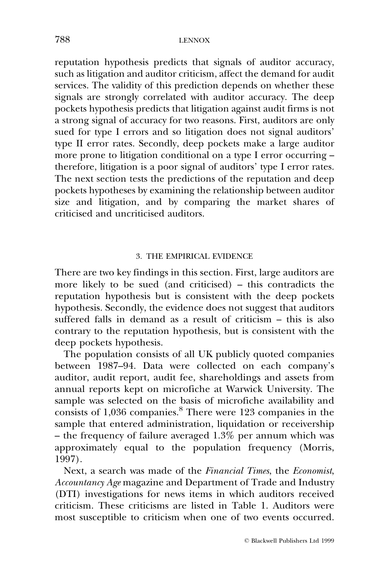reputation hypothesis predicts that signals of auditor accuracy, such as litigation and auditor criticism, affect the demand for audit services. The validity of this prediction depends on whether these signals are strongly correlated with auditor accuracy. The deep pockets hypothesis predicts that litigation against audit firms is not a strong signal of accuracy for two reasons. First, auditors are only sued for type I errors and so litigation does not signal auditors' type II error rates. Secondly, deep pockets make a large auditor more prone to litigation conditional on a type I error occurring  $-\frac{1}{2}$ therefore, litigation is a poor signal of auditors' type I error rates. The next section tests the predictions of the reputation and deep pockets hypotheses by examining the relationship between auditor size and litigation, and by comparing the market shares of criticised and uncriticised auditors.

## 3. THE EMPIRICAL EVIDENCE

There are two key findings in this section. First, large auditors are more likely to be sued (and criticised)  $-$  this contradicts the reputation hypothesis but is consistent with the deep pockets hypothesis. Secondly, the evidence does not suggest that auditors suffered falls in demand as a result of criticism  $-$  this is also contrary to the reputation hypothesis, but is consistent with the deep pockets hypothesis.

The population consists of all UK publicly quoted companies between 1987-94. Data were collected on each company's auditor, audit report, audit fee, shareholdings and assets from annual reports kept on microfiche at Warwick University. The sample was selected on the basis of microfiche availability and consists of 1,036 companies.8 There were 123 companies in the sample that entered administration, liquidation or receivership  $-$  the frequency of failure averaged 1.3% per annum which was approximately equal to the population frequency (Morris, 1997).

Next, a search was made of the Financial Times, the Economist, Accountancy Age magazine and Department of Trade and Industry (DTI) investigations for news items in which auditors received criticism. These criticisms are listed in Table 1. Auditors were most susceptible to criticism when one of two events occurred.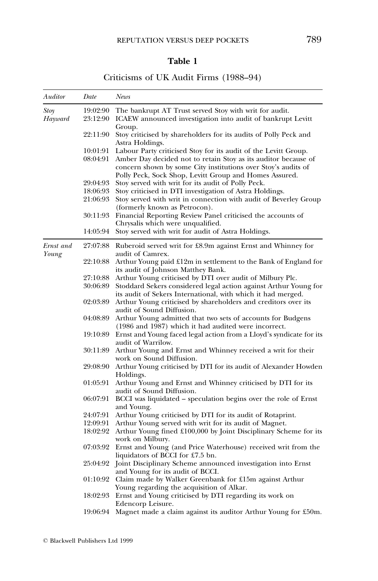## Table 1

## Criticisms of UK Audit Firms (1988-94)

| Auditor   | Date     | News                                                                                                                                                                                      |
|-----------|----------|-------------------------------------------------------------------------------------------------------------------------------------------------------------------------------------------|
| Stoy      | 19:02:90 | The bankrupt AT Trust served Stoy with writ for audit.                                                                                                                                    |
| Hayward   | 23:12:90 | ICAEW announced investigation into audit of bankrupt Levitt                                                                                                                               |
|           |          | Group.                                                                                                                                                                                    |
|           | 22:11:90 | Stoy criticised by shareholders for its audits of Polly Peck and<br>Astra Holdings.                                                                                                       |
|           | 10:01:91 | Labour Party criticised Stoy for its audit of the Levitt Group.                                                                                                                           |
|           | 08:04:91 | Amber Day decided not to retain Stoy as its auditor because of<br>concern shown by some City institutions over Stoy's audits of<br>Polly Peck, Sock Shop, Levitt Group and Homes Assured. |
|           | 29:04:93 | Stoy served with writ for its audit of Polly Peck.                                                                                                                                        |
|           | 18:06:93 | Stoy criticised in DTI investigation of Astra Holdings.                                                                                                                                   |
|           | 21:06:93 | Stoy served with writ in connection with audit of Beverley Group<br>(formerly known as Petrocon).                                                                                         |
|           | 30:11:93 | Financial Reporting Review Panel criticised the accounts of<br>Chrysalis which were unqualified.                                                                                          |
|           | 14:05:94 | Stoy served with writ for audit of Astra Holdings.                                                                                                                                        |
| Ernst and | 27:07:88 | Ruberoid served writ for £8.9m against Ernst and Whinney for<br>audit of Camrex.                                                                                                          |
| Young     | 22:10:88 | Arthur Young paid £12m in settlement to the Bank of England for<br>its audit of Johnson Matthey Bank.                                                                                     |
|           | 27:10:88 | Arthur Young criticised by DTI over audit of Milbury Plc.                                                                                                                                 |
|           | 30:06:89 | Stoddard Sekers considered legal action against Arthur Young for<br>its audit of Sekers International, with which it had merged.                                                          |
|           | 02:03:89 | Arthur Young criticised by shareholders and creditors over its<br>audit of Sound Diffusion.                                                                                               |
|           | 04:08:89 | Arthur Young admitted that two sets of accounts for Budgens<br>(1986 and 1987) which it had audited were incorrect.                                                                       |
|           | 19:10:89 | Ernst and Young faced legal action from a Lloyd's syndicate for its<br>audit of Warrilow.                                                                                                 |
|           | 30:11:89 | Arthur Young and Ernst and Whinney received a writ for their<br>work on Sound Diffusion.                                                                                                  |
|           | 29:08:90 | Arthur Young criticised by DTI for its audit of Alexander Howden<br>Holdings.                                                                                                             |
|           | 01:05:91 | Arthur Young and Ernst and Whinney criticised by DTI for its<br>audit of Sound Diffusion.                                                                                                 |
|           | 06:07:91 | BCCI was liquidated – speculation begins over the role of Ernst<br>and Young.                                                                                                             |
|           | 24:07:91 | Arthur Young criticised by DTI for its audit of Rotaprint.                                                                                                                                |
|           | 12:09:91 | Arthur Young served with writ for its audit of Magnet.                                                                                                                                    |
|           | 18:02:92 | Arthur Young fined £100,000 by Joint Disciplinary Scheme for its<br>work on Milbury.                                                                                                      |
|           | 07:03:92 | Ernst and Young (and Price Waterhouse) received writ from the<br>liquidators of BCCI for £7.5 bn.                                                                                         |
|           | 25:04:92 | Joint Disciplinary Scheme announced investigation into Ernst<br>and Young for its audit of BCCI.                                                                                          |
|           | 01:10:92 | Claim made by Walker Greenbank for £15m against Arthur<br>Young regarding the acquisition of Alkar.                                                                                       |
|           | 18:02:93 | Ernst and Young criticised by DTI regarding its work on                                                                                                                                   |
|           | 19:06:94 | Edencorp Leisure.<br>Magnet made a claim against its auditor Arthur Young for £50m.                                                                                                       |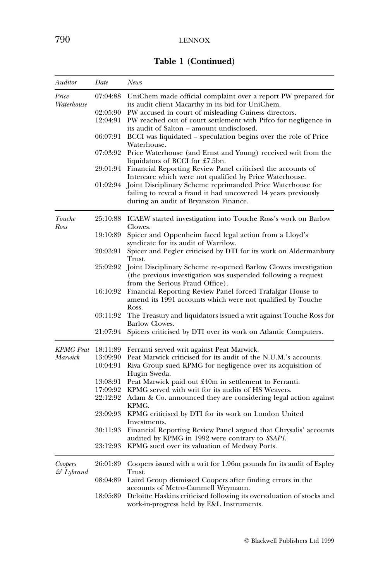Table 1 (Continued)

| Auditor                          | Date     | News                                                                                                                                                                  |
|----------------------------------|----------|-----------------------------------------------------------------------------------------------------------------------------------------------------------------------|
| Price<br>Waterhouse              |          | 07:04:88 UniChem made official complaint over a report PW prepared for<br>its audit client Macarthy in its bid for UniChem.                                           |
|                                  | 02:05:90 | PW accused in court of misleading Guiness directors.                                                                                                                  |
|                                  |          | 12:04:91 PW reached out of court settlement with Pifco for negligence in<br>its audit of Salton – amount undisclosed.                                                 |
|                                  | 06:07:91 | BCCI was liquidated – speculation begins over the role of Price<br>Waterhouse.                                                                                        |
|                                  | 07:03:92 | Price Waterhouse (and Ernst and Young) received writ from the<br>liquidators of BCCI for £7.5bn.                                                                      |
|                                  |          | 29:01:94 Financial Reporting Review Panel criticised the accounts of<br>Intercare which were not qualified by Price Waterhouse.                                       |
|                                  | 01:02:94 | Joint Disciplinary Scheme reprimanded Price Waterhouse for<br>failing to reveal a fraud it had uncovered 14 years previously<br>during an audit of Bryanston Finance. |
| Touche<br>Ross                   |          | 25:10:88 ICAEW started investigation into Touche Ross's work on Barlow<br>Clowes.                                                                                     |
|                                  | 19:10:89 | Spicer and Oppenheim faced legal action from a Lloyd's<br>syndicate for its audit of Warrilow.                                                                        |
|                                  | 20:03:91 | Spicer and Pegler criticised by DTI for its work on Aldermanbury<br>Trust.                                                                                            |
|                                  | 25:02:92 | Joint Disciplinary Scheme re-opened Barlow Clowes investigation<br>(the previous investigation was suspended following a request<br>from the Serious Fraud Office).   |
|                                  | 16:10:92 | Financial Reporting Review Panel forced Trafalgar House to<br>amend its 1991 accounts which were not qualified by Touche                                              |
|                                  | 03:11:92 | Ross.<br>The Treasury and liquidators issued a writ against Touche Ross for<br>Barlow Clowes.                                                                         |
|                                  | 21:07:94 | Spicers criticised by DTI over its work on Atlantic Computers.                                                                                                        |
| <b>KPMG</b> Peat                 | 18:11:89 | Ferranti served writ against Peat Marwick.                                                                                                                            |
| Marwick                          | 13:09:90 | Peat Marwick criticised for its audit of the N.U.M.'s accounts.                                                                                                       |
|                                  | 10:04:91 | Riva Group sued KPMG for negligence over its acquisition of<br>Hugin Sweda.                                                                                           |
|                                  | 13:08:91 | Peat Marwick paid out £40m in settlement to Ferranti.                                                                                                                 |
|                                  | 17:09:92 | KPMG served with writ for its audits of HS Weavers.                                                                                                                   |
|                                  | 22:12:92 | Adam & Co. announced they are considering legal action against<br>KPMG.                                                                                               |
|                                  |          | 23:09:93 KPMG criticised by DTI for its work on London United<br>Investments.                                                                                         |
|                                  | 30:11:93 | Financial Reporting Review Panel argued that Chrysalis' accounts<br>audited by KPMG in 1992 were contrary to <i>SSAP1</i> .                                           |
|                                  | 23:12:93 | KPMG sued over its valuation of Medway Ports.                                                                                                                         |
| Coopers<br>$\mathcal{C}$ Lybrand | 26:01:89 | Coopers issued with a writ for 1.96m pounds for its audit of Espley<br>Trust.                                                                                         |
|                                  |          | 08:04:89 Laird Group dismissed Coopers after finding errors in the<br>accounts of Metro-Cammell Weymann.                                                              |
|                                  | 18:05:89 | Deloitte Haskins criticised following its overvaluation of stocks and<br>work-in-progress held by E&L Instruments.                                                    |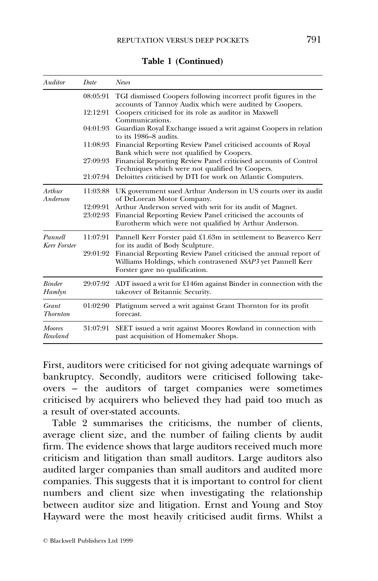| Auditor                  | Date     | <b>News</b>                                                                                                                                                       |
|--------------------------|----------|-------------------------------------------------------------------------------------------------------------------------------------------------------------------|
|                          | 08:05:91 | TGI dismissed Coopers following incorrect profit figures in the<br>accounts of Tannoy Audix which were audited by Coopers.                                        |
|                          | 12:12:91 | Coopers criticised for its role as auditor in Maxwell<br>Communications.                                                                                          |
|                          | 04:01:93 | Guardian Royal Exchange issued a writ against Coopers in relation<br>to its 1986–8 audits.                                                                        |
|                          | 11:08:93 | Financial Reporting Review Panel criticised accounts of Royal<br>Bank which were not qualified by Coopers.                                                        |
|                          | 27:09:93 | Financial Reporting Review Panel criticised accounts of Control<br>Techniques which were not qualified by Coopers.                                                |
|                          | 21:07:94 | Deloittes criticised by DTI for work on Atlantic Computers.                                                                                                       |
| Arthur<br>Anderson       | 11:03:88 | UK government sued Arthur Anderson in US courts over its audit<br>of DeLorean Motor Company.                                                                      |
|                          | 12:09:91 | Arthur Anderson served with writ for its audit of Magnet.                                                                                                         |
|                          | 23:02:93 | Financial Reporting Review Panel criticised the accounts of<br>Eurotherm which were not qualified by Arthur Anderson.                                             |
| Pannell<br>Kerr Forster  | 11:07:91 | Pannell Kerr Forster paid £1.63m in settlement to Beaverco Kerr<br>for its audit of Body Sculpture.                                                               |
|                          | 29:01:92 | Financial Reporting Review Panel criticised the annual report of<br>Williams Holdings, which contravened SSAP3 yet Pannell Kerr<br>Forster gave no qualification. |
| <b>Binder</b><br>Hamlyn  | 29:07:92 | ADT issued a writ for £146m against Binder in connection with the<br>takeover of Britannic Security.                                                              |
| Grant<br><b>Thornton</b> | 01:02:90 | Platignum served a writ against Grant Thornton for its profit<br>forecast.                                                                                        |
| <b>Moores</b><br>Rowland | 31:07:91 | SEET issued a writ against Moores Rowland in connection with<br>past acquisition of Homemaker Shops.                                                              |

Table 1 (Continued)

First, auditors were criticised for not giving adequate warnings of bankruptcy. Secondly, auditors were criticised following takeovers - the auditors of target companies were sometimes criticised by acquirers who believed they had paid too much as a result of over-stated accounts.

Table 2 summarises the criticisms, the number of clients, average client size, and the number of failing clients by audit firm. The evidence shows that large auditors received much more criticism and litigation than small auditors. Large auditors also audited larger companies than small auditors and audited more companies. This suggests that it is important to control for client numbers and client size when investigating the relationship between auditor size and litigation. Ernst and Young and Stoy Hayward were the most heavily criticised audit firms. Whilst a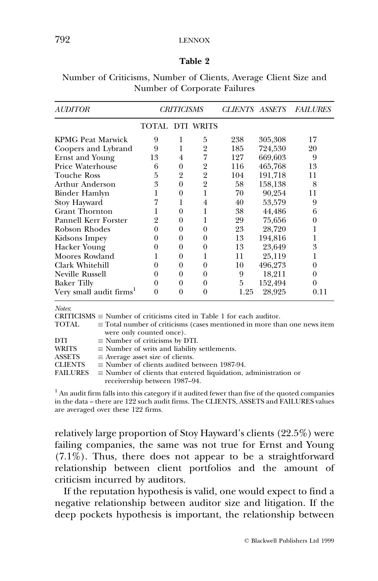## 792 LENNOX

#### Table 2

| <i><b>AUDITOR</b></i>    |                 | <b>CRITICISMS</b> |                | <i>CLIENTS ASSETS</i> |         | <b>FAILURES</b> |
|--------------------------|-----------------|-------------------|----------------|-----------------------|---------|-----------------|
|                          | TOTAL DTI WRITS |                   |                |                       |         |                 |
| <b>KPMG Peat Marwick</b> | 9               |                   | 5              | 238                   | 305,308 | 17              |
| Coopers and Lybrand      | 9               | 1                 | 2              | 185                   | 724,530 | 20              |
| <b>Ernst and Young</b>   | 13              | 4                 | 7              | 127                   | 669,603 | 9               |
| Price Waterhouse         | 6               | $\theta$          | 2              | 116                   | 465,768 | 13              |
| Touche Ross              | 5               | 2                 | $\overline{2}$ | 104                   | 191,718 | 11              |
| Arthur Anderson          | 3               | 0                 | $\overline{2}$ | 58                    | 158,138 | 8               |
| Binder Hamlyn            |                 | 0                 | 1              | 70                    | 90,254  | 11              |
| Stoy Hayward             |                 |                   | $\overline{4}$ | 40                    | 53,579  | 9               |
| <b>Grant Thornton</b>    |                 | 0                 | 1              | 38                    | 44,486  | 6               |
| Pannell Kerr Forster     | 2               | 0                 | 1              | 29                    | 75,656  | 0               |
| Robson Rhodes            |                 | 0                 | $\Omega$       | 23                    | 28,720  |                 |
| Kidsons Impey            | $_{0}$          | 0                 | 0              | 13                    | 194,816 | 1               |
| Hacker Young             |                 | 0                 | 0              | 13                    | 23,649  | 3               |
| Moores Rowland           |                 | 0                 |                | 11                    | 25,119  |                 |
| Clark Whitehill          |                 | 0                 | 0              | 10                    | 496,273 | 0               |
| Neville Russell          |                 | 0                 | $_{0}$         | 9                     | 18,211  | $^{()}$         |
| <b>Baker Tilly</b>       | 0               | 0                 | 0              | 5                     | 152,494 | 0               |
| Very small audit firms   |                 | 0                 | 0              | 1.25                  | 28,925  | 0.11            |

Number of Criticisms, Number of Clients, Average Client Size and Number of Corporate Failures

Notes:

|                 | CRITICISMS $\equiv$ Number of criticisms cited in Table 1 for each auditor.     |
|-----------------|---------------------------------------------------------------------------------|
| TOTAL           | $\equiv$ Total number of criticisms (cases mentioned in more than one news item |
|                 | were only counted once).                                                        |
| DTI             | $\equiv$ Number of criticisms by DTI.                                           |
| <b>WRITS</b>    | $\equiv$ Number of writs and liability settlements.                             |
| <b>ASSETS</b>   | $\equiv$ Average asset size of clients.                                         |
| <b>CLIENTS</b>  | $\equiv$ Number of clients audited between 1987-94.                             |
| <b>FAILURES</b> | $\equiv$ Number of clients that entered liquidation, administration or          |
|                 | receivership between 1987–94.                                                   |

 $<sup>1</sup>$  An audit firm falls into this category if it audited fewer than five of the quoted companies</sup> in the data – there are 122 such audit firms. The CLIENTS, ASSETS and FAILURES values are averaged over these 122 firms.

relatively large proportion of Stoy Hayward's clients (22.5%) were failing companies, the same was not true for Ernst and Young (7.1%). Thus, there does not appear to be a straightforward relationship between client portfolios and the amount of criticism incurred by auditors.

If the reputation hypothesis is valid, one would expect to find a negative relationship between auditor size and litigation. If the deep pockets hypothesis is important, the relationship between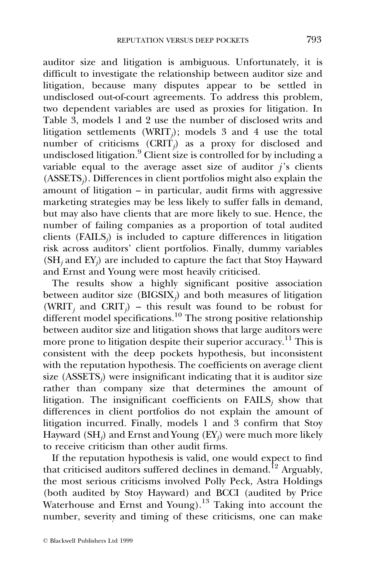auditor size and litigation is ambiguous. Unfortunately, it is difficult to investigate the relationship between auditor size and litigation, because many disputes appear to be settled in undisclosed out-of-court agreements. To address this problem, two dependent variables are used as proxies for litigation. In Table 3, models 1 and 2 use the number of disclosed writs and litigation settlements (WRIT<sub>i</sub>); models 3 and 4 use the total number of criticisms  $(CRIT)$  as a proxy for disclosed and undisclosed litigation.<sup>9</sup> Client size is controlled for by including a variable equal to the average asset size of auditor  $i$ 's clients  $(ASSETS<sub>j</sub>)$ . Differences in client portfolios might also explain the amount of litigation  $-$  in particular, audit firms with aggressive marketing strategies may be less likely to suffer falls in demand, but may also have clients that are more likely to sue. Hence, the number of failing companies as a proportion of total audited clients  $(FAILS<sub>i</sub>)$  is included to capture differences in litigation risk across auditors' client portfolios. Finally, dummy variables  $(SH_i$  and  $EY_i)$  are included to capture the fact that Stoy Hayward and Ernst and Young were most heavily criticised.

The results show a highly significant positive association between auditor size (BIGSIX<sub>i</sub>) and both measures of litigation (WRIT<sub>j</sub> and CRIT<sub>j</sub>) – this result was found to be robust for different model specifications.<sup>10</sup> The strong positive relationship between auditor size and litigation shows that large auditors were more prone to litigation despite their superior accuracy.<sup>11</sup> This is consistent with the deep pockets hypothesis, but inconsistent with the reputation hypothesis. The coefficients on average client size  $(ASSETS<sub>i</sub>)$  were insignificant indicating that it is auditor size rather than company size that determines the amount of litigation. The insignificant coefficients on  $FAILS<sub>j</sub>$  show that differences in client portfolios do not explain the amount of litigation incurred. Finally, models 1 and 3 confirm that Stoy Hayward (SH<sub>i</sub>) and Ernst and Young (EY<sub>i</sub>) were much more likely to receive criticism than other audit firms.

If the reputation hypothesis is valid, one would expect to find that criticised auditors suffered declines in demand.<sup>12</sup> Arguably, the most serious criticisms involved Polly Peck, Astra Holdings (both audited by Stoy Hayward) and BCCI (audited by Price Waterhouse and Ernst and Young).<sup>13</sup> Taking into account the number, severity and timing of these criticisms, one can make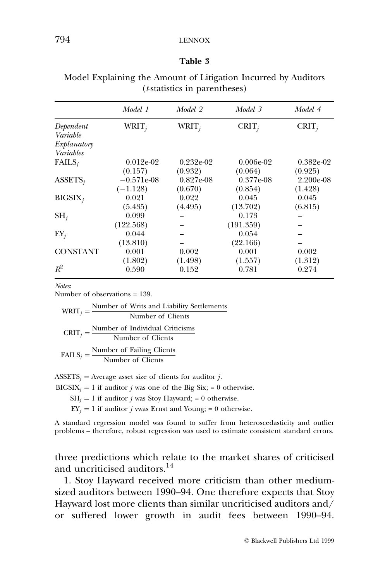#### Table 3

|                 | Model 1      | Model 2      | Model 3     | Model 4     |
|-----------------|--------------|--------------|-------------|-------------|
| Dependent       | $WRIT_i$     | $WRIT_i$     | $CRIT_i$    | $CRIT_i$    |
| Variable        |              |              |             |             |
| Explanatory     |              |              |             |             |
| Variables       |              |              |             |             |
| $FAILS_i$       | $0.012e-02$  | $0.232e-02$  | $0.006e-02$ | $0.382e-02$ |
|                 | (0.157)      | (0.932)      | (0.064)     | (0.925)     |
| $ASSETS_i$      | $-0.571e-08$ | $0.827e-0.8$ | $0.377e-08$ | $2.200e-08$ |
|                 | $(-1.128)$   | (0.670)      | (0.854)     | (1.428)     |
| $BIGSIX_i$      | 0.021        | 0.022        | 0.045       | 0.045       |
|                 | (5.435)      | (4.495)      | (13.702)    | (6.815)     |
| $\mathrm{SH}_i$ | 0.099        |              | 0.173       |             |
|                 | (122.568)    |              | (191.359)   |             |
| $EY_j$          | 0.044        |              | 0.054       |             |
|                 | (13.810)     |              | (22.166)    |             |
| <b>CONSTANT</b> | 0.001        | 0.002        | 0.001       | 0.002       |
|                 | (1.802)      | (1.498)      | (1.557)     | (1.312)     |
| $R^2$           | 0.590        | 0.152        | 0.781       | 0.274       |
|                 |              |              |             |             |

Model Explaining the Amount of Litigation Incurred by Auditors (t-statistics in parentheses)

Notes:

Number of observations = 139.

|  | $WRIT_j = \frac{Number of Writs and Liability Setlements}{Number of Clients}$        |
|--|--------------------------------------------------------------------------------------|
|  |                                                                                      |
|  | $CRIT_j = \frac{\text{Number of Individual Criticisms}}{\text{Number of Clients}}$   |
|  | $\text{FAILS}_j = \frac{\text{Number of Failing Clients}}{\text{Number of Clients}}$ |
|  |                                                                                      |

ASSETS<sub>i</sub> = Average asset size of clients for auditor *j*.

 $BIGSIX_i = 1$  if auditor *j* was one of the Big Six; = 0 otherwise.

 $SH_i = 1$  if auditor *j* was Stoy Hayward; = 0 otherwise.

 $EY_i = 1$  if auditor *j* was Ernst and Young; = 0 otherwise.

A standard regression model was found to suffer from heteroscedasticity and outlier problems - therefore, robust regression was used to estimate consistent standard errors.

three predictions which relate to the market shares of criticised and uncriticised auditors.14

1. Stoy Hayward received more criticism than other mediumsized auditors between 1990-94. One therefore expects that Stoy Hayward lost more clients than similar uncriticised auditors and/ or suffered lower growth in audit fees between 1990–94.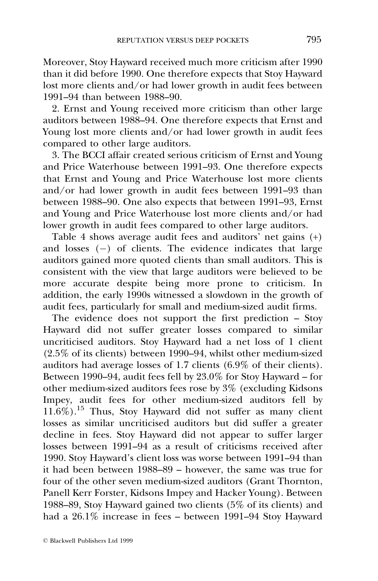Moreover, Stoy Hayward received much more criticism after 1990 than it did before 1990. One therefore expects that Stoy Hayward lost more clients and/or had lower growth in audit fees between 1991±94 than between 1988±90.

2. Ernst and Young received more criticism than other large auditors between 1988–94. One therefore expects that Ernst and Young lost more clients and/or had lower growth in audit fees compared to other large auditors.

3. The BCCI affair created serious criticism of Ernst and Young and Price Waterhouse between 1991-93. One therefore expects that Ernst and Young and Price Waterhouse lost more clients and/or had lower growth in audit fees between  $1991-93$  than between 1988–90. One also expects that between 1991–93, Ernst and Young and Price Waterhouse lost more clients and/or had lower growth in audit fees compared to other large auditors.

Table 4 shows average audit fees and auditors' net gains (+) and losses  $(-)$  of clients. The evidence indicates that large auditors gained more quoted clients than small auditors. This is consistent with the view that large auditors were believed to be more accurate despite being more prone to criticism. In addition, the early 1990s witnessed a slowdown in the growth of audit fees, particularly for small and medium-sized audit firms.

The evidence does not support the first prediction  $-$  Stoy Hayward did not suffer greater losses compared to similar uncriticised auditors. Stoy Hayward had a net loss of 1 client  $(2.5\%$  of its clients) between 1990–94, whilst other medium-sized auditors had average losses of 1.7 clients (6.9% of their clients). Between 1990-94, audit fees fell by  $23.0\%$  for Stoy Hayward – for other medium-sized auditors fees rose by 3% (excluding Kidsons Impey, audit fees for other medium-sized auditors fell by  $11.6\%$ ).<sup>15</sup> Thus, Stoy Hayward did not suffer as many client losses as similar uncriticised auditors but did suffer a greater decline in fees. Stoy Hayward did not appear to suffer larger losses between  $1991-94$  as a result of criticisms received after 1990. Stoy Hayward's client loss was worse between 1991-94 than it had been between  $1988-89$  – however, the same was true for four of the other seven medium-sized auditors (Grant Thornton, Panell Kerr Forster, Kidsons Impey and Hacker Young). Between 1988–89, Stoy Hayward gained two clients (5% of its clients) and had a  $26.1\%$  increase in fees – between 1991–94 Stoy Hayward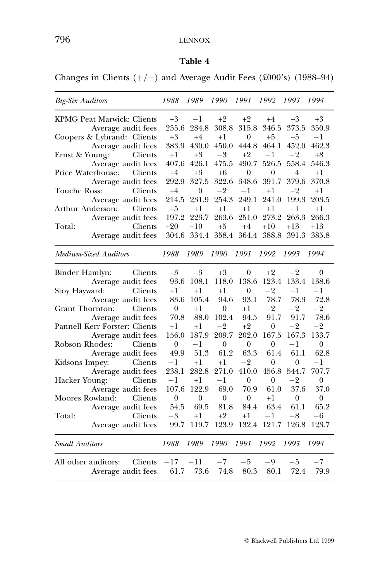# 796 LENNOX

# Table 4

Changes in Clients  $(+/-)$  and Average Audit Fees (£000's) (1988–94)

| <b>Big-Six Auditors</b>           | 1988         | 1989             | 1990             | 1991         | 1992             | 1993           | 1994         |
|-----------------------------------|--------------|------------------|------------------|--------------|------------------|----------------|--------------|
| KPMG Peat Marwick: Clients        | $+3$         | $^{-1}$          | $+2$             | $+2$         | $+4$             | $+3$           | $+3$         |
| Average audit fees                | 255.6        | 284.8            | 308.8            | 315.8        | 346.5            | 373.5          | 350.9        |
| Coopers & Lybrand: Clients        | $+3$         | $+4$             | $+1$             | $\theta$     | $+5$             | $+5$           | $^{-1}$      |
| Average audit fees                | 383.9        | 430.0            | 450.0            | 444.8        | 464.1            | 452.0          | 462.3        |
| Clients<br>Ernst & Young:         | $^{+1}$      | $+3$             | $-3$             | $+2$         | $-1$             | $-2$           | $+8$         |
| Average audit fees                | 407.6        | 426.1            | 475.5            | 490.7        | 526.5            | 558.4          | 546.3        |
| Clients<br>Price Waterhouse:      | $+4$         | $+3$             | $+6$             | $\theta$     | $\mathbf{0}$     | $+4$           | $+1$         |
| Average audit fees                | 292.9        | 327.5            | 322.6            | 348.6        | 391.7            | 379.6          | 370.8        |
| Clients<br>Touche Ross:           | $+4$         | $\boldsymbol{0}$ | $-2$             | $-1$         | $^{+1}$          | $+2$           | $^{+1}$      |
| Average audit fees                | 214.5        | 231.9            | 254.3            | 249.1        | 241.0            | 199.3          | 203.5        |
| Arthur Anderson:<br>Clients       | $+5$         | $+1$             | $+1$             | $^{+1}$      | $+1$             | $+1$           | $^{+1}$      |
| Average audit fees                | 197.2        | 223.7            | 263.6            | 251.0        | 273.2            | 263.3          | 266.3        |
| Clients<br>Total:                 | $+20$        | $+10$            | $+5$             | $+4$         | $+10$            | +13            | $^{+13}$     |
| Average audit fees                | 304.6        | 334.4            |                  | 358.4 364.4  | 388.8            | 391.3          | 385.8        |
| Medium-Sized Auditors             | 1988         | 1989             | 1990             | 1991         | 1992             | 1993           | 1994         |
| Clients<br>Binder Hamlyn:         | $-3$         | $-3$             | $+3$             | $\theta$     | $+2$             | $-2$           | 0            |
| Average audit fees                | 93.6         | 108.1            | 118.0            | 138.6        | 123.4            | 133.4          | 138.6        |
| Clients<br>Stoy Hayward:          | $^{+1}$      | $^{+1}$          | $^{+1}$          | $\theta$     | $-2$             | $^{+1}$        | -1           |
| Average audit fees                | 83.6         | 105.4            | 94.6             | 93.1         | 78.7             | 78.3           | 72.8         |
| Clients<br><b>Grant Thornton:</b> | $\Omega$     | $^{+1}$          | $\overline{0}$   | $^{+1}$      | $-2$             | $-2$           | $-2$         |
| Average audit fees                | 70.8         | 88.0             | 102.4            | 94.5         | 91.7             | 91.7           | 78.6         |
| Pannell Kerr Forster: Clients     | $+1$         | $+1$             | $-2$             | $+2$         | 0                | $-2$           | $-2$         |
| Average audit fees                | 156.0        | 187.9            | 209.7            | 202.0        | 167.5            | 167.3          | 133.7        |
| Clients<br>Robson Rhodes:         | $\theta$     | $^{-1}$          | $\overline{0}$   | $\theta$     | $\mathbf{0}$     | $^{-1}$        | $\theta$     |
| Average audit fees                | 49.9         | 51.3             | 61.2             | 63.3         | 61.4             | 61.1           | 62.8         |
| Kidsons Impey:<br>Clients         | $^{\rm -1}$  | $^{+1}$          | $^{+1}$          | $-2$         | 0                | 0              | $-1$         |
| Average audit fees                | 238.1        | 282.8            | 271.0            | 410.0        | 456.8            | 544.7          | 707.7        |
| Clients<br>Hacker Young:          | $-1$         | $+1$             | $^{-1}$          | $\theta$     | $\boldsymbol{0}$ | $-2$           | $\theta$     |
| Average audit fees                | 107.6        | 122.9            | 69.0             | 70.9         | 61.0             | 37.6           | 37.0         |
| Moores Rowland:<br>Clients        | $\mathbf{0}$ | $\mathbf{0}$     | $\boldsymbol{0}$ | $\mathbf{0}$ | $+1$             | $\overline{0}$ | $\mathbf{0}$ |
| Average audit fees                | 54.5         | 69.5             | 81.8             | 84.4         | 63.4             | 61.1           | 65.2         |
| Total:<br>Clients                 | $-3$         | $+1$             | $+2$             | $+1$         | $-1$             | $-8$           | -6           |
| Average audit fees                | 99.7         | 119.7            | 123.9            | 132.4        | 121.7            | 126.8          | 123.7        |
| <b>Small Auditors</b>             | 1988         | 1989             | 1990             | 1991         | 1992             | 1993           | 1994         |
| Clients<br>All other auditors:    | $-17$        | $-11$            | $-7$             | $-5$         | -9               | $-5$           | $-7$         |
| Average audit fees                | 61.7         | 73.6             | 74.8             | 80.3         | 80.1             | 72.4           | 79.9         |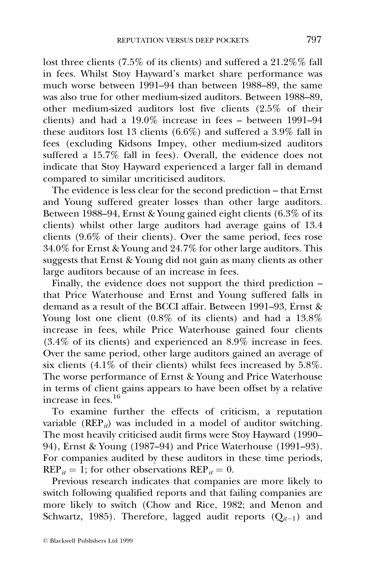lost three clients (7.5% of its clients) and suffered a 21.2%% fall in fees. Whilst Stoy Hayward's market share performance was much worse between 1991–94 than between  $1\overline{988}$ –89, the same was also true for other medium-sized auditors. Between 1988–89, other medium-sized auditors lost five clients (2.5% of their clients) and had a  $19.0\%$  increase in fees  $-$  between 1991–94 these auditors lost 13 clients (6.6%) and suffered a 3.9% fall in fees (excluding Kidsons Impey, other medium-sized auditors suffered a  $15.7\%$  fall in fees). Overall, the evidence does not indicate that Stoy Hayward experienced a larger fall in demand compared to similar uncriticised auditors.

The evidence is less clear for the second prediction – that Ernst and Young suffered greater losses than other large auditors. Between  $1988-94$ , Ernst & Young gained eight clients (6.3% of its clients) whilst other large auditors had average gains of 13.4 clients (9.6% of their clients). Over the same period, fees rose 34.0% for Ernst & Young and 24.7% for other large auditors. This suggests that Ernst & Young did not gain as many clients as other large auditors because of an increase in fees.

Finally, the evidence does not support the third prediction  $$ that Price Waterhouse and Ernst and Young suffered falls in demand as a result of the BCCI affair. Between 1991-93, Ernst & Young lost one client (0.8% of its clients) and had a 13.8% increase in fees, while Price Waterhouse gained four clients (3.4% of its clients) and experienced an 8.9% increase in fees. Over the same period, other large auditors gained an average of six clients  $(4.1\%$  of their clients) whilst fees increased by 5.8%. The worse performance of Ernst & Young and Price Waterhouse in terms of client gains appears to have been offset by a relative increase in fees $16$ 

To examine further the effects of criticism, a reputation variable ( $REP_{it}$ ) was included in a model of auditor switching. The most heavily criticised audit firms were Stoy Hayward (1990-94), Ernst & Young (1987–94) and Price Waterhouse (1991–93). For companies audited by these auditors in these time periods,  $\text{REP}_{it} = 1$ ; for other observations  $\text{REP}_{it} = 0$ .

Previous research indicates that companies are more likely to switch following qualified reports and that failing companies are more likely to switch (Chow and Rice, 1982; and Menon and Schwartz, 1985). Therefore, lagged audit reports  $(Q_{it-1})$  and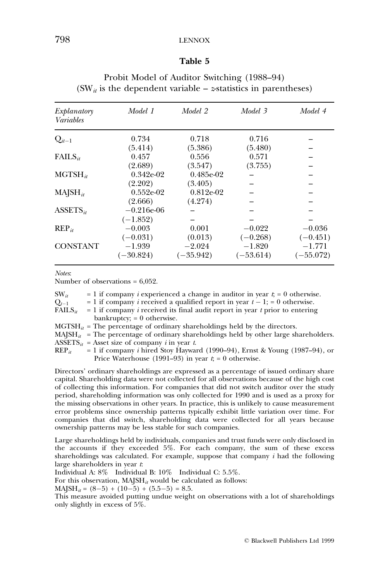## 798 LENNOX

#### Table 5

| Explanatory<br><i>Variables</i> | Model 1      | Model 2     | Model 3     | Model 4     |
|---------------------------------|--------------|-------------|-------------|-------------|
| $Q_{it-1}$                      | 0.734        | 0.718       | 0.716       |             |
|                                 | (5.414)      | (5.386)     | (5.480)     |             |
| $FAILS_{it}$                    | 0.457        | 0.556       | 0.571       |             |
|                                 | (2.689)      | (3.547)     | (3.755)     |             |
| $MGTSH_{it}$                    | $0.342e-02$  | 0.485e-02   |             |             |
|                                 | (2.202)      | (3.405)     |             |             |
| $MAISH_{it}$                    | $0.552e-02$  | $0.812e-02$ |             |             |
|                                 | (2.666)      | (4.274)     |             |             |
| $ASSETS_{it}$                   | $-0.216e-06$ |             |             |             |
|                                 | $(-1.852)$   |             |             |             |
| $\text{REP}_{it}$               | $-0.003$     | 0.001       | $-0.022$    | $-0.036$    |
|                                 | $(-0.031)$   | (0.013)     | $(-0.268)$  | $(-0.451)$  |
| <b>CONSTANT</b>                 | $-1.939$     | $-2.024$    | $-1.820$    | $-1.771$    |
|                                 | $(-30.824)$  | $(-35.942)$ | $(-53.614)$ | $(-55.072)$ |

## Probit Model of Auditor Switching (1988–94)  $(SW_{it}$  is the dependent variable – *z*-statistics in parentheses)

Notes:

Number of observations = 6,052.

| $SW_{it}$           | $= 1$ if company <i>i</i> experienced a change in auditor in year $t = 0$ otherwise.         |
|---------------------|----------------------------------------------------------------------------------------------|
| $Q_{t-1}$           | = 1 if company <i>i</i> received a qualified report in year $t - 1$ ; = 0 otherwise.         |
| $\text{FAILS}_{it}$ | $= 1$ if company <i>i</i> received its final audit report in year <i>t</i> prior to entering |
|                     | bankruptcy; $= 0$ otherwise.                                                                 |
|                     | $MGTSH_{it}$ = The percentage of ordinary shareholdings held by the directors.               |
|                     | $MA[SH_{it}]$ = The percentage of ordinary shareholdings held by other large shareholders.   |
|                     | $\text{ASSETS}_{it}$ = Asset size of company <i>i</i> in year <i>t</i> .                     |
| $\text{REP}_{it}$   | $= 1$ if company <i>i</i> hired Stoy Hayward (1990–94), Ernst & Young (1987–94), or          |
|                     | Price Waterhouse (1991–93) in year $ti = 0$ otherwise.                                       |
|                     |                                                                                              |

Directors' ordinary shareholdings are expressed as a percentage of issued ordinary share capital. Shareholding data were not collected for all observations because of the high cost of collecting this information. For companies that did not switch auditor over the study period, shareholding information was only collected for 1990 and is used as a proxy for the missing observations in other years. In practice, this is unlikely to cause measurement error problems since ownership patterns typically exhibit little variation over time. For companies that did switch, shareholding data were collected for all years because ownership patterns may be less stable for such companies.

Large shareholdings held by individuals, companies and trust funds were only disclosed in the accounts if they exceeded 5%. For each company, the sum of these excess shareholdings was calculated. For example, suppose that company  $i$  had the following large shareholders in year t.

Individual A: 8% Individual B: 10% Individual C: 5.5%.

For this observation,  $MA<sub>1</sub>SH<sub>it</sub>$  would be calculated as follows:

 $MAISH_{it} = (8-5) + (10-5) + (5.5-5) = 8.5.$ 

This measure avoided putting undue weight on observations with a lot of shareholdings only slightly in excess of 5%.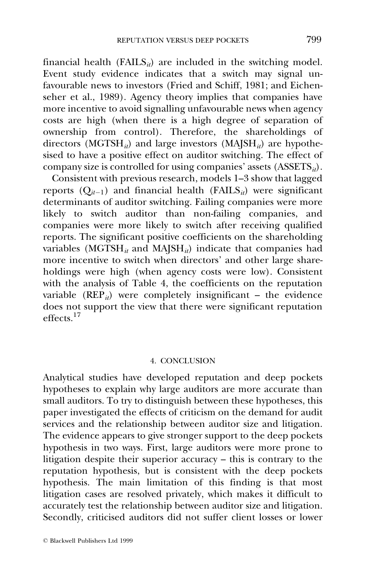financial health (FAILS $_{it}$ ) are included in the switching model. Event study evidence indicates that a switch may signal unfavourable news to investors (Fried and Schiff, 1981; and Eichenseher et al., 1989). Agency theory implies that companies have more incentive to avoid signalling unfavourable news when agency costs are high (when there is a high degree of separation of ownership from control). Therefore, the shareholdings of directors (MGTSH<sub>it</sub>) and large investors (MAJSH<sub>it</sub>) are hypothesised to have a positive effect on auditor switching. The effect of company size is controlled for using companies' assets  $(ASSETS_{it})$ .

Consistent with previous research, models 1-3 show that lagged reports  $(Q_{it-1})$  and financial health (FAILS<sub>it</sub>) were significant determinants of auditor switching. Failing companies were more likely to switch auditor than non-failing companies, and companies were more likely to switch after receiving qualified reports. The significant positive coefficients on the shareholding variables (MGTSH $_{it}$  and MAJSH $_{it}$ ) indicate that companies had more incentive to switch when directors' and other large shareholdings were high (when agency costs were low). Consistent with the analysis of Table 4, the coefficients on the reputation variable ( $REP_{it}$ ) were completely insignificant – the evidence does not support the view that there were significant reputation  $\frac{17}{\text{effects}}$ 

#### 4. CONCLUSION

Analytical studies have developed reputation and deep pockets hypotheses to explain why large auditors are more accurate than small auditors. To try to distinguish between these hypotheses, this paper investigated the effects of criticism on the demand for audit services and the relationship between auditor size and litigation. The evidence appears to give stronger support to the deep pockets hypothesis in two ways. First, large auditors were more prone to litigation despite their superior  $\vec{acc}$  accuracy  $-$  this is contrary to the reputation hypothesis, but is consistent with the deep pockets hypothesis. The main limitation of this finding is that most litigation cases are resolved privately, which makes it difficult to accurately test the relationship between auditor size and litigation. Secondly, criticised auditors did not suffer client losses or lower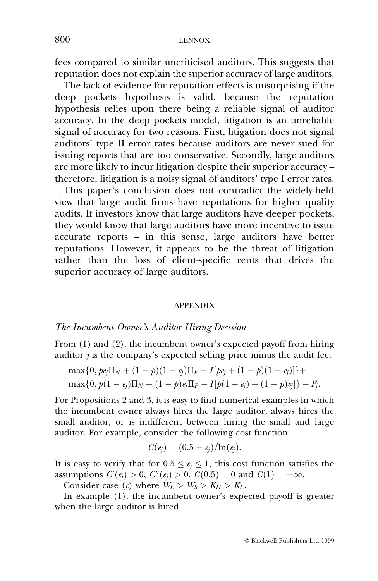fees compared to similar uncriticised auditors. This suggests that reputation does not explain the superior accuracy of large auditors.

The lack of evidence for reputation effects is unsurprising if the deep pockets hypothesis is valid, because the reputation hypothesis relies upon there being a reliable signal of auditor accuracy. In the deep pockets model, litigation is an unreliable signal of accuracy for two reasons. First, litigation does not signal auditors' type II error rates because auditors are never sued for issuing reports that are too conservative. Secondly, large auditors are more likely to incur litigation despite their superior accuracy therefore, litigation is a noisy signal of auditors' type I error rates.

This paper's conclusion does not contradict the widely-held view that large audit firms have reputations for higher quality audits. If investors know that large auditors have deeper pockets, they would know that large auditors have more incentive to issue  $accurate$  reports  $-$  in this sense, large auditors have better reputations. However, it appears to be the threat of litigation rather than the loss of client-specific rents that drives the superior accuracy of large auditors.

#### APPENDIX

#### The Incumbent Owner's Auditor Hiring Decision

From (1) and (2), the incumbent owner's expected payoff from hiring auditor  $j$  is the company's expected selling price minus the audit fee:

$$
\begin{aligned} & \max\{0, p e_j \Pi_N + (1-p)(1-e_j) \Pi_F - I [p e_j + (1-p)(1-e_j)]\} + \\ & \max\{0, p(1-e_j) \Pi_N + (1-p)e_j \Pi_F - I [p(1-e_j) + (1-p)e_j]\} - F_j. \end{aligned}
$$

For Propositions 2 and 3, it is easy to find numerical examples in which the incumbent owner always hires the large auditor, always hires the small auditor, or is indifferent between hiring the small and large auditor. For example, consider the following cost function:

$$
C(e_j) = (0.5 - e_j)/\ln(e_j).
$$

It is easy to verify that for  $0.5 \le e_i \le 1$ , this cost function satisfies the assumptions  $C'(e_j) > 0$ ,  $C''(e_j) > 0$ ,  $C(0.5) = 0$  and  $C(1) = +\infty$ .

Consider case (c) where  $W_L > W_S > K_H > K_L$ .

In example (1), the incumbent owner's expected payoff is greater when the large auditor is hired.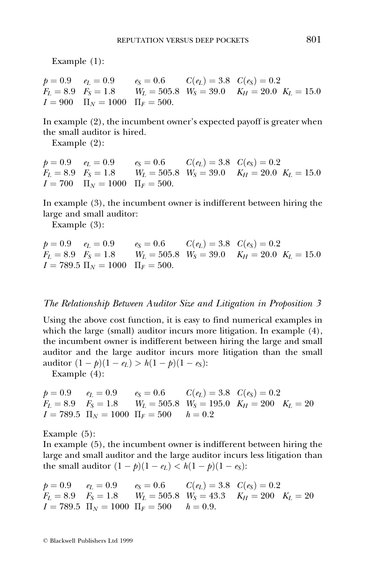Example (1):

 $p = 0.9$   $e_L = 0.9$   $e_S = 0.6$   $C(e_L) = 3.8$   $C(e_S) = 0.2$  $F_L = 8.9$   $F_S = 1.8$   $W_L = 505.8$   $W_S = 39.0$   $K_H = 20.0$   $K_L = 15.0$  $I = 900 \quad \Pi_N = 1000 \quad \Pi_F = 500.$ 

In example (2), the incumbent owner's expected payoff is greater when the small auditor is hired.

Example (2):

 $p = 0.9$   $e_L = 0.9$   $e_S = 0.6$   $C(e_L) = 3.8$   $C(e_S) = 0.2$  $F_L = 8.9$   $F_S = 1.8$   $W_L = 505.8$   $W_S = 39.0$   $K_H = 20.0$   $K_L = 15.0$  $I = 700 \quad \Pi_N = 1000 \quad \Pi_F = 500.$ 

In example (3), the incumbent owner is indifferent between hiring the large and small auditor:

Example (3):

 $p = 0.9$   $e_L = 0.9$   $e_S = 0.6$   $C(e_L) = 3.8$   $C(e_S) = 0.2$  $F_L = 8.9$   $F_S = 1.8$   $W_L = 505.8$   $W_S = 39.0$   $K_H = 20.0$   $K_L = 15.0$  $I = 789.5 \Pi_N = 1000 \Pi_F = 500.$ 

## The Relationship Between Auditor Size and Litigation in Proposition 3

Using the above cost function, it is easy to find numerical examples in which the large (small) auditor incurs more litigation. In example (4), the incumbent owner is indifferent between hiring the large and small auditor and the large auditor incurs more litigation than the small auditor  $(1 - p)(1 - e_L) > h(1 - p)(1 - e_S)$ :

Example (4):

```
p = 0.9 e_L = 0.9 e_S = 0.6 C(e_L) = 3.8 C(e_S) = 0.2F_L = 8.9 F_S = 1.8 W_L = 505.8 W_S = 195.0 K_H = 200 K_L = 20I = 789.5 \ \Pi_N = 1000 \ \Pi_F = 500 \ \ h = 0.2
```
Example (5):

In example (5), the incumbent owner is indifferent between hiring the large and small auditor and the large auditor incurs less litigation than the small auditor  $(1 - p)(1 - e_L) < h(1 - p)(1 - e_S)$ :

$$
p = 0.9
$$
  $e_L = 0.9$   $e_S = 0.6$   $C(e_L) = 3.8$   $C(e_S) = 0.2$   
\n $F_L = 8.9$   $F_S = 1.8$   $W_L = 505.8$   $W_S = 43.3$   $K_H = 200$   $K_L = 20$   
\n $I = 789.5$   $\Pi_N = 1000$   $\Pi_F = 500$   $h = 0.9$ .

ß Blackwell Publishers Ltd 1999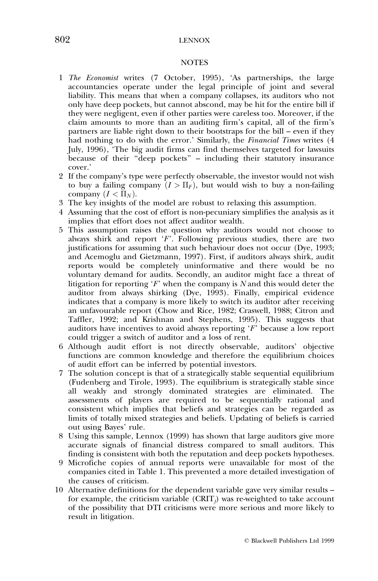#### **NOTES**

- 1 The Economist writes (7 October, 1995), 'As partnerships, the large accountancies operate under the legal principle of joint and several liability. This means that when a company collapses, its auditors who not only have deep pockets, but cannot abscond, may be hit for the entire bill if they were negligent, even if other parties were careless too. Moreover, if the claim amounts to more than an auditing firm's capital, all of the firm's partners are liable right down to their bootstraps for the bill  $-$  even if they had nothing to do with the error.' Similarly, the Financial Times writes (4 July, 1996), `The big audit firms can find themselves targeted for lawsuits because of their "deep pockets" - including their statutory insurance cover.'
- 2 If the company's type were perfectly observable, the investor would not wish to buy a failing company  $(I > \Pi_F)$ , but would wish to buy a non-failing company  $(I < \overline{\Pi}_N)$ .
- 3 The key insights of the model are robust to relaxing this assumption.
- 4 Assuming that the cost of effort is non-pecuniary simplifies the analysis as it implies that effort does not affect auditor wealth.
- 5 This assumption raises the question why auditors would not choose to always shirk and report  $F$ . Following previous studies, there are two justifications for assuming that such behaviour does not occur (Dye, 1993; and Acemoglu and Gietzmann, 1997). First, if auditors always shirk, audit reports would be completely uninformative and there would be no voluntary demand for audits. Secondly, an auditor might face a threat of litigation for reporting  $F$  when the company is N and this would deter the auditor from always shirking (Dye, 1993). Finally, empirical evidence indicates that a company is more likely to switch its auditor after receiving an unfavourable report (Chow and Rice, 1982; Craswell, 1988; Citron and Taffler, 1992; and Krishnan and Stephens, 1995). This suggests that auditors have incentives to avoid always reporting  $F$  because a low report could trigger a switch of auditor and a loss of rent.
- 6 Although audit effort is not directly observable, auditors' objective functions are common knowledge and therefore the equilibrium choices of audit effort can be inferred by potential investors.
- 7 The solution concept is that of a strategically stable sequential equilibrium (Fudenberg and Tirole, 1993). The equilibrium is strategically stable since all weakly and strongly dominated strategies are eliminated. The assessments of players are required to be sequentially rational and consistent which implies that beliefs and strategies can be regarded as limits of totally mixed strategies and beliefs. Updating of beliefs is carried out using Bayes' rule.
- 8 Using this sample, Lennox (1999) has shown that large auditors give more accurate signals of financial distress compared to small auditors. This finding is consistent with both the reputation and deep pockets hypotheses.
- 9 Microfiche copies of annual reports were unavailable for most of the companies cited in Table 1. This prevented a more detailed investigation of the causes of criticism.
- 10 Alternative definitions for the dependent variable gave very similar results  $-\frac{1}{2}$ for example, the criticism variable  $(CRIT_i)$  was re-weighted to take account of the possibility that DTI criticisms were more serious and more likely to result in litigation.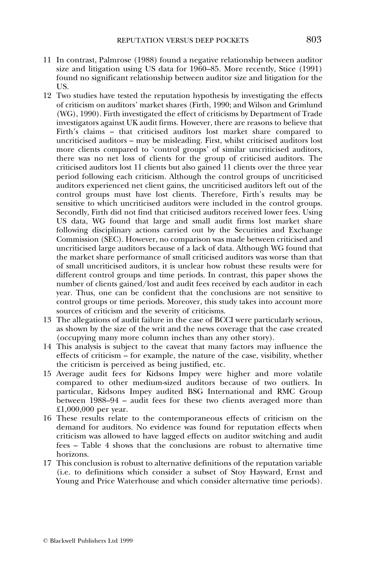- 11 In contrast, Palmrose (1988) found a negative relationship between auditor size and litigation using US data for  $1960-85$ . More recently, Stice (1991) found no significant relationship between auditor size and litigation for the US.
- 12 Two studies have tested the reputation hypothesis by investigating the effects of criticism on auditors' market shares (Firth, 1990; and Wilson and Grimlund (WG), 1990). Firth investigated the effect of criticisms by Department of Trade investigators against UK audit firms. However, there are reasons to believe that Firth's claims - that criticised auditors lost market share compared to uncriticised auditors – may be misleading. First, whilst criticised auditors lost more clients compared to 'control groups' of similar uncriticised auditors, there was no net loss of clients for the group of criticised auditors. The criticised auditors lost 11 clients but also gained 11 clients over the three year period following each criticism. Although the control groups of uncriticised auditors experienced net client gains, the uncriticised auditors left out of the control groups must have lost clients. Therefore, Firth's results may be sensitive to which uncriticised auditors were included in the control groups. Secondly, Firth did not find that criticised auditors received lower fees. Using US data, WG found that large and small audit firms lost market share following disciplinary actions carried out by the Securities and Exchange Commission (SEC). However, no comparison was made between criticised and uncriticised large auditors because of a lack of data. Although WG found that the market share performance of small criticised auditors was worse than that of small uncriticised auditors, it is unclear how robust these results were for different control groups and time periods. In contrast, this paper shows the number of clients gained/lost and audit fees received by each auditor in each year. Thus, one can be confident that the conclusions are not sensitive to control groups or time periods. Moreover, this study takes into account more sources of criticism and the severity of criticisms.
- 13 The allegations of audit failure in the case of BCCI were particularly serious, as shown by the size of the writ and the news coverage that the case created (occupying many more column inches than any other story).
- 14 This analysis is subject to the caveat that many factors may influence the effects of criticism – for example, the nature of the case, visibility, whether the criticism is perceived as being justified, etc.
- 15 Average audit fees for Kidsons Impey were higher and more volatile compared to other medium-sized auditors because of two outliers. In particular, Kidsons Impey audited BSG International and RMC Group between 1988–94 – audit fees for these two clients averaged more than £1,000,000 per year.
- 16 These results relate to the contemporaneous effects of criticism on the demand for auditors. No evidence was found for reputation effects when criticism was allowed to have lagged effects on auditor switching and audit fees – Table 4 shows that the conclusions are robust to alternative time horizons.
- 17 This conclusion is robust to alternative definitions of the reputation variable (i.e. to definitions which consider a subset of Stoy Hayward, Ernst and Young and Price Waterhouse and which consider alternative time periods).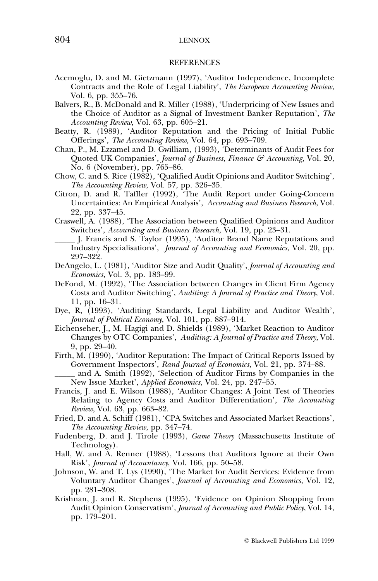## 804 LENNOX

#### **REFERENCES**

- Acemoglu, D. and M. Gietzmann (1997), `Auditor Independence, Incomplete Contracts and the Role of Legal Liability', The European Accounting Review, Vol. 6, pp. 355–76.
- Balvers, R., B. McDonald and R. Miller (1988), `Underpricing of New Issues and the Choice of Auditor as a Signal of Investment Banker Reputation', The Accounting Review, Vol. 63, pp. 605-21.
- Beatty, R. (1989), 'Auditor Reputation and the Pricing of Initial Public Offerings', The Accounting Review, Vol. 64, pp. 693-709.
- Chan, P., M. Ezzamel and D. Gwilliam, (1993), `Determinants of Audit Fees for Quoted UK Companies', Journal of Business, Finance & Accounting, Vol. 20, No. 6 (November), pp. 765-86.
- Chow, C. and S. Rice (1982), `Qualified Audit Opinions and Auditor Switching', The Accounting Review, Vol. 57, pp. 326-35.
- Citron, D. and R. Taffler (1992), 'The Audit Report under Going-Concern Uncertainties: An Empirical Analysis', Accounting and Business Research, Vol. 22, pp. 337-45.
- Craswell, A. (1988), `The Association between Qualified Opinions and Auditor Switches', Accounting and Business Research, Vol. 19, pp. 23–31.
- \_\_\_\_\_ J. Francis and S. Taylor (1995), `Auditor Brand Name Reputations and Industry Specialisations', Journal of Accounting and Economics, Vol. 20, pp. 297±322.
- DeAngelo, L. (1981), 'Auditor Size and Audit Quality', Journal of Accounting and  $E_{\text{conomics}}$ , Vol. 3, pp. 183–99.
- DeFond, M. (1992), 'The Association between Changes in Client Firm Agency Costs and Auditor Switching', Auditing: A Journal of Practice and Theory, Vol. 11, pp. 16-31.
- Dye, R, (1993), `Auditing Standards, Legal Liability and Auditor Wealth', Journal of Political Economy, Vol. 101, pp. 887-914.
- Eichenseher, J., M. Hagigi and D. Shields (1989), `Market Reaction to Auditor Changes by OTC Companies', Auditing: A Journal of Practice and Theory, Vol. 9, pp. 29–40.
- Firth, M. (1990), 'Auditor Reputation: The Impact of Critical Reports Issued by Government Inspectors', Rand Journal of Economics, Vol. 21, pp. 374–88.

\_\_\_\_\_ and A. Smith (1992), `Selection of Auditor Firms by Companies in the New Issue Market', Applied Economics, Vol. 24, pp. 247-55.

- Francis, J. and E. Wilson (1988), `Auditor Changes: A Joint Test of Theories Relating to Agency Costs and Auditor Differentiation', The Accounting Review, Vol. 63, pp. 663-82.
- Fried, D. and A. Schiff (1981), `CPA Switches and Associated Market Reactions', The Accounting Review, pp. 347-74.
- Fudenberg, D. and J. Tirole (1993), Game Theory (Massachusetts Institute of Technology).
- Hall, W. and A. Renner (1988), 'Lessons that Auditors Ignore at their Own Risk', Journal of Accountancy, Vol. 166, pp. 50-58.
- Johnson, W. and T. Lys (1990), 'The Market for Audit Services: Evidence from Voluntary Auditor Changes', Journal of Accounting and Economics, Vol. 12, pp. 281±308.
- Krishnan, J. and R. Stephens (1995), `Evidence on Opinion Shopping from Audit Opinion Conservatism', Journal of Accounting and Public Policy, Vol. 14, pp. 179±201.